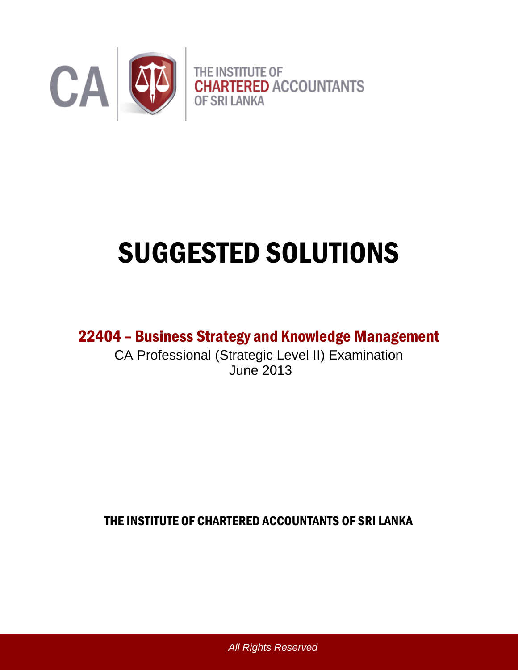

# SUGGESTED SOLUTIONS

22404 – Business Strategy and Knowledge Management

CA Professional (Strategic Level II) Examination June 2013

THE INSTITUTE OF CHARTERED ACCOUNTANTS OF SRI LANKA

*All Rights Reserved*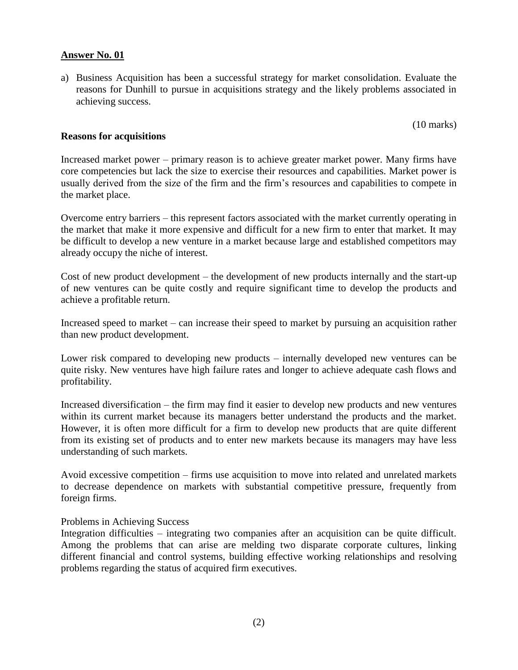#### **Answer No. 01**

a) Business Acquisition has been a successful strategy for market consolidation. Evaluate the reasons for Dunhill to pursue in acquisitions strategy and the likely problems associated in achieving success.

(10 marks)

#### **Reasons for acquisitions**

Increased market power – primary reason is to achieve greater market power. Many firms have core competencies but lack the size to exercise their resources and capabilities. Market power is usually derived from the size of the firm and the firm's resources and capabilities to compete in the market place.

Overcome entry barriers – this represent factors associated with the market currently operating in the market that make it more expensive and difficult for a new firm to enter that market. It may be difficult to develop a new venture in a market because large and established competitors may already occupy the niche of interest.

Cost of new product development – the development of new products internally and the start-up of new ventures can be quite costly and require significant time to develop the products and achieve a profitable return.

Increased speed to market – can increase their speed to market by pursuing an acquisition rather than new product development.

Lower risk compared to developing new products – internally developed new ventures can be quite risky. New ventures have high failure rates and longer to achieve adequate cash flows and profitability.

Increased diversification – the firm may find it easier to develop new products and new ventures within its current market because its managers better understand the products and the market. However, it is often more difficult for a firm to develop new products that are quite different from its existing set of products and to enter new markets because its managers may have less understanding of such markets.

Avoid excessive competition – firms use acquisition to move into related and unrelated markets to decrease dependence on markets with substantial competitive pressure, frequently from foreign firms.

#### Problems in Achieving Success

Integration difficulties – integrating two companies after an acquisition can be quite difficult. Among the problems that can arise are melding two disparate corporate cultures, linking different financial and control systems, building effective working relationships and resolving problems regarding the status of acquired firm executives.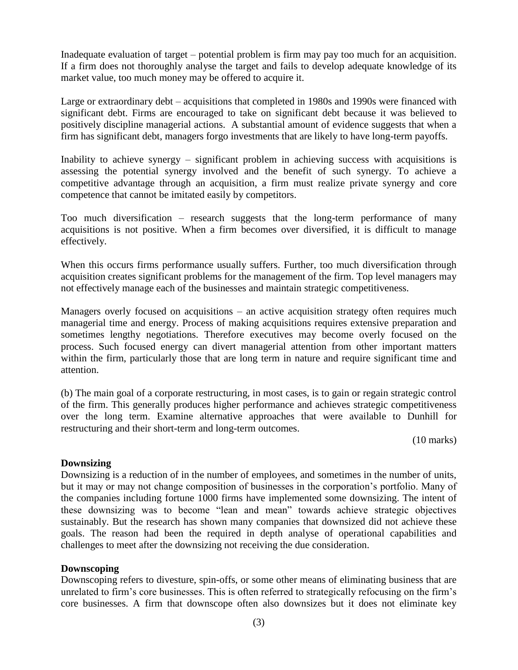Inadequate evaluation of target – potential problem is firm may pay too much for an acquisition. If a firm does not thoroughly analyse the target and fails to develop adequate knowledge of its market value, too much money may be offered to acquire it.

Large or extraordinary debt – acquisitions that completed in 1980s and 1990s were financed with significant debt. Firms are encouraged to take on significant debt because it was believed to positively discipline managerial actions. A substantial amount of evidence suggests that when a firm has significant debt, managers forgo investments that are likely to have long-term payoffs.

Inability to achieve synergy – significant problem in achieving success with acquisitions is assessing the potential synergy involved and the benefit of such synergy. To achieve a competitive advantage through an acquisition, a firm must realize private synergy and core competence that cannot be imitated easily by competitors.

Too much diversification – research suggests that the long-term performance of many acquisitions is not positive. When a firm becomes over diversified, it is difficult to manage effectively.

When this occurs firms performance usually suffers. Further, too much diversification through acquisition creates significant problems for the management of the firm. Top level managers may not effectively manage each of the businesses and maintain strategic competitiveness.

Managers overly focused on acquisitions – an active acquisition strategy often requires much managerial time and energy. Process of making acquisitions requires extensive preparation and sometimes lengthy negotiations. Therefore executives may become overly focused on the process. Such focused energy can divert managerial attention from other important matters within the firm, particularly those that are long term in nature and require significant time and attention.

(b) The main goal of a corporate restructuring, in most cases, is to gain or regain strategic control of the firm. This generally produces higher performance and achieves strategic competitiveness over the long term. Examine alternative approaches that were available to Dunhill for restructuring and their short-term and long-term outcomes.

(10 marks)

# **Downsizing**

Downsizing is a reduction of in the number of employees, and sometimes in the number of units, but it may or may not change composition of businesses in the corporation's portfolio. Many of the companies including fortune 1000 firms have implemented some downsizing. The intent of these downsizing was to become "lean and mean" towards achieve strategic objectives sustainably. But the research has shown many companies that downsized did not achieve these goals. The reason had been the required in depth analyse of operational capabilities and challenges to meet after the downsizing not receiving the due consideration.

# **Downscoping**

Downscoping refers to divesture, spin-offs, or some other means of eliminating business that are unrelated to firm's core businesses. This is often referred to strategically refocusing on the firm's core businesses. A firm that downscope often also downsizes but it does not eliminate key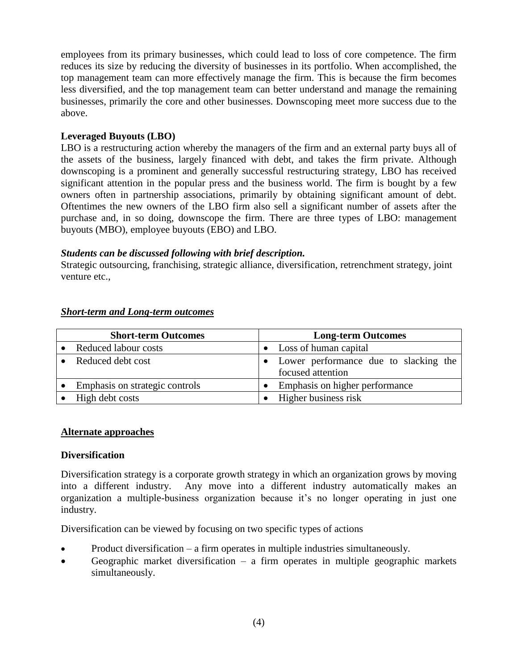employees from its primary businesses, which could lead to loss of core competence. The firm reduces its size by reducing the diversity of businesses in its portfolio. When accomplished, the top management team can more effectively manage the firm. This is because the firm becomes less diversified, and the top management team can better understand and manage the remaining businesses, primarily the core and other businesses. Downscoping meet more success due to the above.

# **Leveraged Buyouts (LBO)**

LBO is a restructuring action whereby the managers of the firm and an external party buys all of the assets of the business, largely financed with debt, and takes the firm private. Although downscoping is a prominent and generally successful restructuring strategy, LBO has received significant attention in the popular press and the business world. The firm is bought by a few owners often in partnership associations, primarily by obtaining significant amount of debt. Oftentimes the new owners of the LBO firm also sell a significant number of assets after the purchase and, in so doing, downscope the firm. There are three types of LBO: management buyouts (MBO), employee buyouts (EBO) and LBO.

# *Students can be discussed following with brief description.*

Strategic outsourcing, franchising, strategic alliance, diversification, retrenchment strategy, joint venture etc.,

| <b>Short-term Outcomes</b>     | <b>Long-term Outcomes</b>                                  |
|--------------------------------|------------------------------------------------------------|
| Reduced labour costs           | Loss of human capital                                      |
| Reduced debt cost              | Lower performance due to slacking the<br>focused attention |
| Emphasis on strategic controls | Emphasis on higher performance                             |
| High debt costs                | Higher business risk                                       |

#### *Short-term and Long-term outcomes*

# **Alternate approaches**

# **Diversification**

Diversification strategy is a corporate growth strategy in which an organization grows by moving into a different industry. Any move into a different industry automatically makes an organization a multiple-business organization because it's no longer operating in just one industry.

Diversification can be viewed by focusing on two specific types of actions

- Product diversification a firm operates in multiple industries simultaneously.
- Geographic market diversification a firm operates in multiple geographic markets simultaneously.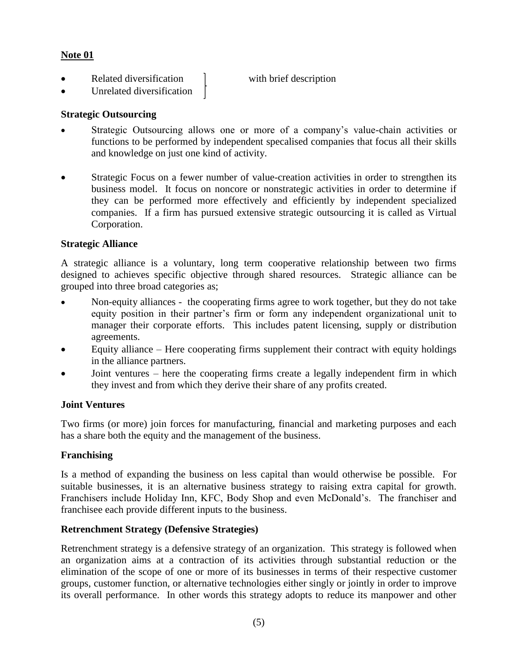# **Note 01**

- Related diversification 1 with brief description
- Unrelated diversification

# **Strategic Outsourcing**

- Strategic Outsourcing allows one or more of a company's value-chain activities or functions to be performed by independent specalised companies that focus all their skills and knowledge on just one kind of activity.
- Strategic Focus on a fewer number of value-creation activities in order to strengthen its business model. It focus on noncore or nonstrategic activities in order to determine if they can be performed more effectively and efficiently by independent specialized companies. If a firm has pursued extensive strategic outsourcing it is called as Virtual Corporation.

# **Strategic Alliance**

A strategic alliance is a voluntary, long term cooperative relationship between two firms designed to achieves specific objective through shared resources. Strategic alliance can be grouped into three broad categories as;

- Non-equity alliances the cooperating firms agree to work together, but they do not take equity position in their partner's firm or form any independent organizational unit to manager their corporate efforts. This includes patent licensing, supply or distribution agreements.
- Equity alliance Here cooperating firms supplement their contract with equity holdings in the alliance partners.
- Joint ventures here the cooperating firms create a legally independent firm in which they invest and from which they derive their share of any profits created.

# **Joint Ventures**

Two firms (or more) join forces for manufacturing, financial and marketing purposes and each has a share both the equity and the management of the business.

# **Franchising**

Is a method of expanding the business on less capital than would otherwise be possible. For suitable businesses, it is an alternative business strategy to raising extra capital for growth. Franchisers include Holiday Inn, KFC, Body Shop and even McDonald's. The franchiser and franchisee each provide different inputs to the business.

# **Retrenchment Strategy (Defensive Strategies)**

Retrenchment strategy is a defensive strategy of an organization. This strategy is followed when an organization aims at a contraction of its activities through substantial reduction or the elimination of the scope of one or more of its businesses in terms of their respective customer groups, customer function, or alternative technologies either singly or jointly in order to improve its overall performance. In other words this strategy adopts to reduce its manpower and other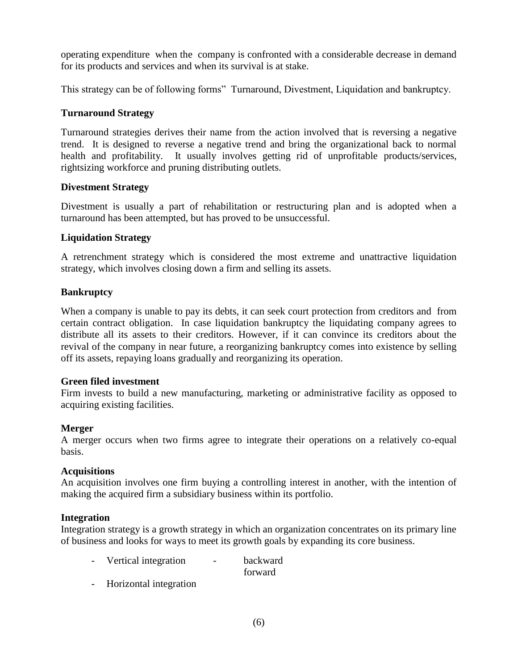operating expenditure when the company is confronted with a considerable decrease in demand for its products and services and when its survival is at stake.

This strategy can be of following forms" Turnaround, Divestment, Liquidation and bankruptcy.

# **Turnaround Strategy**

Turnaround strategies derives their name from the action involved that is reversing a negative trend. It is designed to reverse a negative trend and bring the organizational back to normal health and profitability. It usually involves getting rid of unprofitable products/services, rightsizing workforce and pruning distributing outlets.

# **Divestment Strategy**

Divestment is usually a part of rehabilitation or restructuring plan and is adopted when a turnaround has been attempted, but has proved to be unsuccessful.

# **Liquidation Strategy**

A retrenchment strategy which is considered the most extreme and unattractive liquidation strategy, which involves closing down a firm and selling its assets.

# **Bankruptcy**

When a company is unable to pay its debts, it can seek court protection from creditors and from certain contract obligation. In case liquidation bankruptcy the liquidating company agrees to distribute all its assets to their creditors. However, if it can convince its creditors about the revival of the company in near future, a reorganizing bankruptcy comes into existence by selling off its assets, repaying loans gradually and reorganizing its operation.

# **Green filed investment**

Firm invests to build a new manufacturing, marketing or administrative facility as opposed to acquiring existing facilities.

# **Merger**

A merger occurs when two firms agree to integrate their operations on a relatively co-equal basis.

# **Acquisitions**

An acquisition involves one firm buying a controlling interest in another, with the intention of making the acquired firm a subsidiary business within its portfolio.

# **Integration**

Integration strategy is a growth strategy in which an organization concentrates on its primary line of business and looks for ways to meet its growth goals by expanding its core business.

- Vertical integration backward forward
- Horizontal integration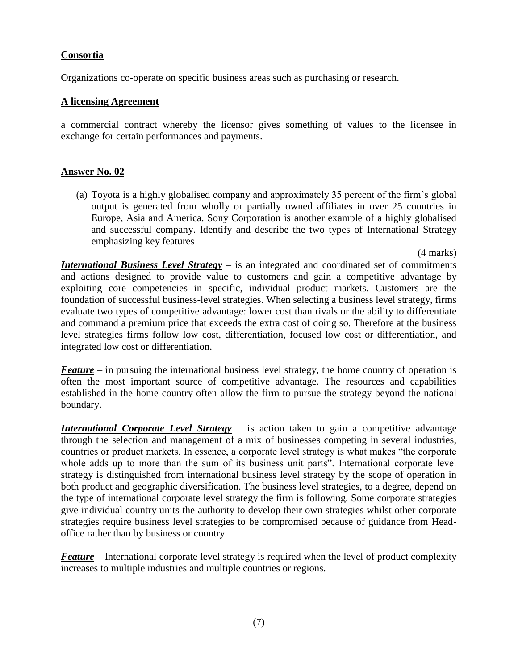# **Consortia**

Organizations co-operate on specific business areas such as purchasing or research.

#### **A licensing Agreement**

a commercial contract whereby the licensor gives something of values to the licensee in exchange for certain performances and payments.

# **Answer No. 02**

(a) Toyota is a highly globalised company and approximately 35 percent of the firm's global output is generated from wholly or partially owned affiliates in over 25 countries in Europe, Asia and America. Sony Corporation is another example of a highly globalised and successful company. Identify and describe the two types of International Strategy emphasizing key features

(4 marks)

*International Business Level Strategy* – is an integrated and coordinated set of commitments and actions designed to provide value to customers and gain a competitive advantage by exploiting core competencies in specific, individual product markets. Customers are the foundation of successful business-level strategies. When selecting a business level strategy, firms evaluate two types of competitive advantage: lower cost than rivals or the ability to differentiate and command a premium price that exceeds the extra cost of doing so. Therefore at the business level strategies firms follow low cost, differentiation, focused low cost or differentiation, and integrated low cost or differentiation.

*Feature* – in pursuing the international business level strategy, the home country of operation is often the most important source of competitive advantage. The resources and capabilities established in the home country often allow the firm to pursue the strategy beyond the national boundary.

*International Corporate Level Strategy* – is action taken to gain a competitive advantage through the selection and management of a mix of businesses competing in several industries, countries or product markets. In essence, a corporate level strategy is what makes "the corporate whole adds up to more than the sum of its business unit parts". International corporate level strategy is distinguished from international business level strategy by the scope of operation in both product and geographic diversification. The business level strategies, to a degree, depend on the type of international corporate level strategy the firm is following. Some corporate strategies give individual country units the authority to develop their own strategies whilst other corporate strategies require business level strategies to be compromised because of guidance from Headoffice rather than by business or country.

*Feature* – International corporate level strategy is required when the level of product complexity increases to multiple industries and multiple countries or regions.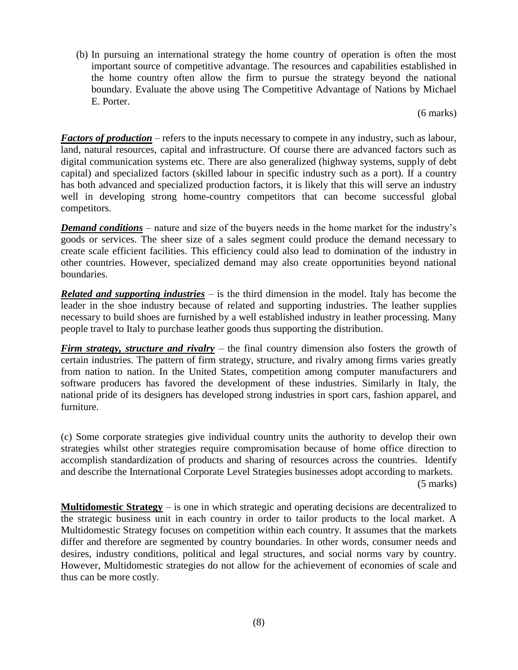(b) In pursuing an international strategy the home country of operation is often the most important source of competitive advantage. The resources and capabilities established in the home country often allow the firm to pursue the strategy beyond the national boundary. Evaluate the above using The Competitive Advantage of Nations by Michael E. Porter.

(6 marks)

*Factors of production* – refers to the inputs necessary to compete in any industry, such as labour, land, natural resources, capital and infrastructure. Of course there are advanced factors such as digital communication systems etc. There are also generalized (highway systems, supply of debt capital) and specialized factors (skilled labour in specific industry such as a port). If a country has both advanced and specialized production factors, it is likely that this will serve an industry well in developing strong home-country competitors that can become successful global competitors.

*Demand conditions* – nature and size of the buyers needs in the home market for the industry's goods or services. The sheer size of a sales segment could produce the demand necessary to create scale efficient facilities. This efficiency could also lead to domination of the industry in other countries. However, specialized demand may also create opportunities beyond national boundaries.

*Related and supporting industries –* is the third dimension in the model. Italy has become the leader in the shoe industry because of related and supporting industries. The leather supplies necessary to build shoes are furnished by a well established industry in leather processing. Many people travel to Italy to purchase leather goods thus supporting the distribution.

**Firm strategy, structure and rivalry** – the final country dimension also fosters the growth of certain industries. The pattern of firm strategy, structure, and rivalry among firms varies greatly from nation to nation. In the United States, competition among computer manufacturers and software producers has favored the development of these industries. Similarly in Italy, the national pride of its designers has developed strong industries in sport cars, fashion apparel, and furniture.

(c) Some corporate strategies give individual country units the authority to develop their own strategies whilst other strategies require compromisation because of home office direction to accomplish standardization of products and sharing of resources across the countries. Identify and describe the International Corporate Level Strategies businesses adopt according to markets. (5 marks)

**Multidomestic Strategy** – is one in which strategic and operating decisions are decentralized to the strategic business unit in each country in order to tailor products to the local market. A Multidomestic Strategy focuses on competition within each country. It assumes that the markets differ and therefore are segmented by country boundaries. In other words, consumer needs and desires, industry conditions, political and legal structures, and social norms vary by country. However, Multidomestic strategies do not allow for the achievement of economies of scale and thus can be more costly.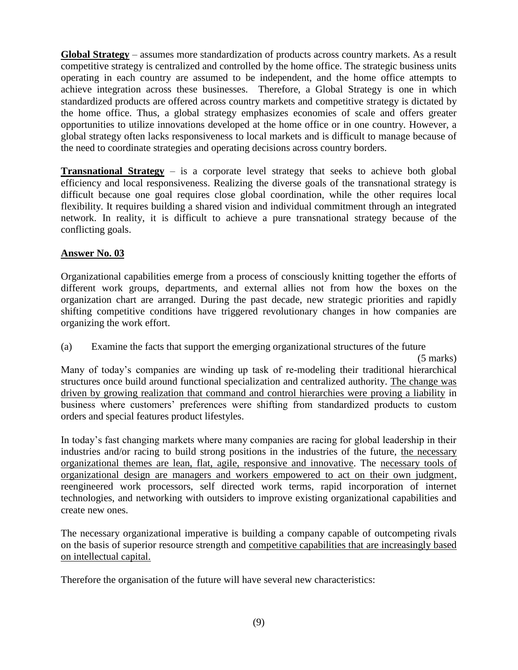**Global Strategy** – assumes more standardization of products across country markets. As a result competitive strategy is centralized and controlled by the home office. The strategic business units operating in each country are assumed to be independent, and the home office attempts to achieve integration across these businesses. Therefore, a Global Strategy is one in which standardized products are offered across country markets and competitive strategy is dictated by the home office. Thus, a global strategy emphasizes economies of scale and offers greater opportunities to utilize innovations developed at the home office or in one country. However, a global strategy often lacks responsiveness to local markets and is difficult to manage because of the need to coordinate strategies and operating decisions across country borders.

**Transnational Strategy** – is a corporate level strategy that seeks to achieve both global efficiency and local responsiveness. Realizing the diverse goals of the transnational strategy is difficult because one goal requires close global coordination, while the other requires local flexibility. It requires building a shared vision and individual commitment through an integrated network. In reality, it is difficult to achieve a pure transnational strategy because of the conflicting goals.

# **Answer No. 03**

Organizational capabilities emerge from a process of consciously knitting together the efforts of different work groups, departments, and external allies not from how the boxes on the organization chart are arranged. During the past decade, new strategic priorities and rapidly shifting competitive conditions have triggered revolutionary changes in how companies are organizing the work effort.

(a) Examine the facts that support the emerging organizational structures of the future

(5 marks)

Many of today's companies are winding up task of re-modeling their traditional hierarchical structures once build around functional specialization and centralized authority. The change was driven by growing realization that command and control hierarchies were proving a liability in business where customers' preferences were shifting from standardized products to custom orders and special features product lifestyles.

In today's fast changing markets where many companies are racing for global leadership in their industries and/or racing to build strong positions in the industries of the future, the necessary organizational themes are lean, flat, agile, responsive and innovative. The necessary tools of organizational design are managers and workers empowered to act on their own judgment, reengineered work processors, self directed work terms, rapid incorporation of internet technologies, and networking with outsiders to improve existing organizational capabilities and create new ones.

The necessary organizational imperative is building a company capable of outcompeting rivals on the basis of superior resource strength and competitive capabilities that are increasingly based on intellectual capital.

Therefore the organisation of the future will have several new characteristics: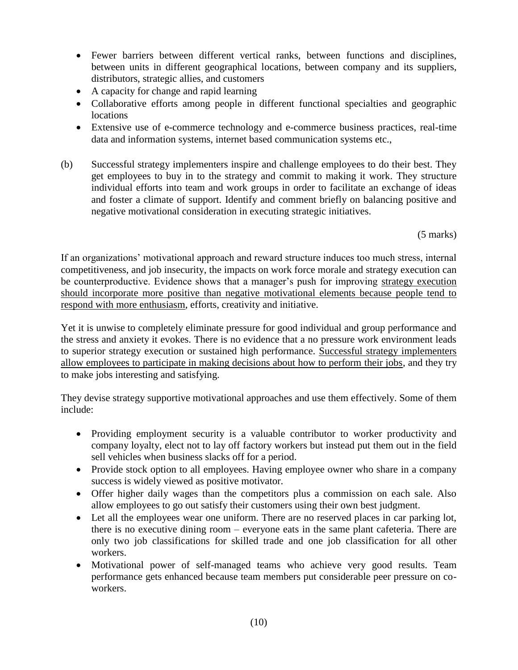- Fewer barriers between different vertical ranks, between functions and disciplines, between units in different geographical locations, between company and its suppliers, distributors, strategic allies, and customers
- A capacity for change and rapid learning
- Collaborative efforts among people in different functional specialties and geographic locations
- Extensive use of e-commerce technology and e-commerce business practices, real-time data and information systems, internet based communication systems etc.,
- (b) Successful strategy implementers inspire and challenge employees to do their best. They get employees to buy in to the strategy and commit to making it work. They structure individual efforts into team and work groups in order to facilitate an exchange of ideas and foster a climate of support. Identify and comment briefly on balancing positive and negative motivational consideration in executing strategic initiatives.

(5 marks)

If an organizations' motivational approach and reward structure induces too much stress, internal competitiveness, and job insecurity, the impacts on work force morale and strategy execution can be counterproductive. Evidence shows that a manager's push for improving strategy execution should incorporate more positive than negative motivational elements because people tend to respond with more enthusiasm, efforts, creativity and initiative.

Yet it is unwise to completely eliminate pressure for good individual and group performance and the stress and anxiety it evokes. There is no evidence that a no pressure work environment leads to superior strategy execution or sustained high performance. Successful strategy implementers allow employees to participate in making decisions about how to perform their jobs, and they try to make jobs interesting and satisfying.

They devise strategy supportive motivational approaches and use them effectively. Some of them include:

- Providing employment security is a valuable contributor to worker productivity and company loyalty, elect not to lay off factory workers but instead put them out in the field sell vehicles when business slacks off for a period.
- Provide stock option to all employees. Having employee owner who share in a company success is widely viewed as positive motivator.
- Offer higher daily wages than the competitors plus a commission on each sale. Also allow employees to go out satisfy their customers using their own best judgment.
- Let all the employees wear one uniform. There are no reserved places in car parking lot, there is no executive dining room – everyone eats in the same plant cafeteria. There are only two job classifications for skilled trade and one job classification for all other workers.
- Motivational power of self-managed teams who achieve very good results. Team performance gets enhanced because team members put considerable peer pressure on coworkers.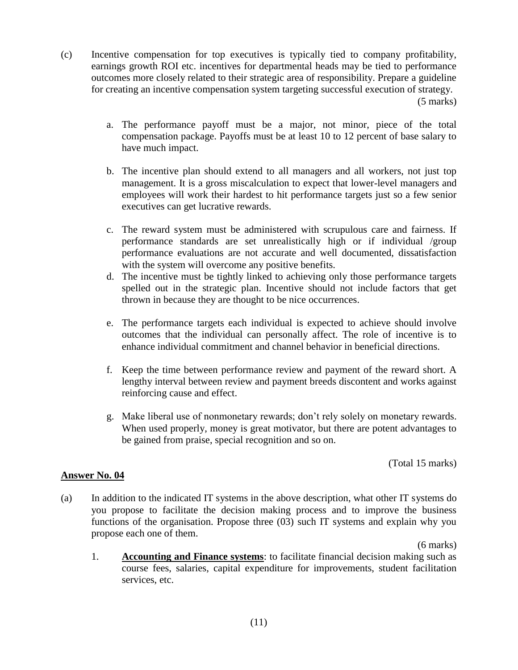(c) Incentive compensation for top executives is typically tied to company profitability, earnings growth ROI etc. incentives for departmental heads may be tied to performance outcomes more closely related to their strategic area of responsibility. Prepare a guideline for creating an incentive compensation system targeting successful execution of strategy.

(5 marks)

- a. The performance payoff must be a major, not minor, piece of the total compensation package. Payoffs must be at least 10 to 12 percent of base salary to have much impact.
- b. The incentive plan should extend to all managers and all workers, not just top management. It is a gross miscalculation to expect that lower-level managers and employees will work their hardest to hit performance targets just so a few senior executives can get lucrative rewards.
- c. The reward system must be administered with scrupulous care and fairness. If performance standards are set unrealistically high or if individual /group performance evaluations are not accurate and well documented, dissatisfaction with the system will overcome any positive benefits.
- d. The incentive must be tightly linked to achieving only those performance targets spelled out in the strategic plan. Incentive should not include factors that get thrown in because they are thought to be nice occurrences.
- e. The performance targets each individual is expected to achieve should involve outcomes that the individual can personally affect. The role of incentive is to enhance individual commitment and channel behavior in beneficial directions.
- f. Keep the time between performance review and payment of the reward short. A lengthy interval between review and payment breeds discontent and works against reinforcing cause and effect.
- g. Make liberal use of nonmonetary rewards; don't rely solely on monetary rewards. When used properly, money is great motivator, but there are potent advantages to be gained from praise, special recognition and so on.

(Total 15 marks)

# **Answer No. 04**

(a) In addition to the indicated IT systems in the above description, what other IT systems do you propose to facilitate the decision making process and to improve the business functions of the organisation. Propose three (03) such IT systems and explain why you propose each one of them.

(6 marks)

1. **Accounting and Finance systems**: to facilitate financial decision making such as course fees, salaries, capital expenditure for improvements, student facilitation services, etc.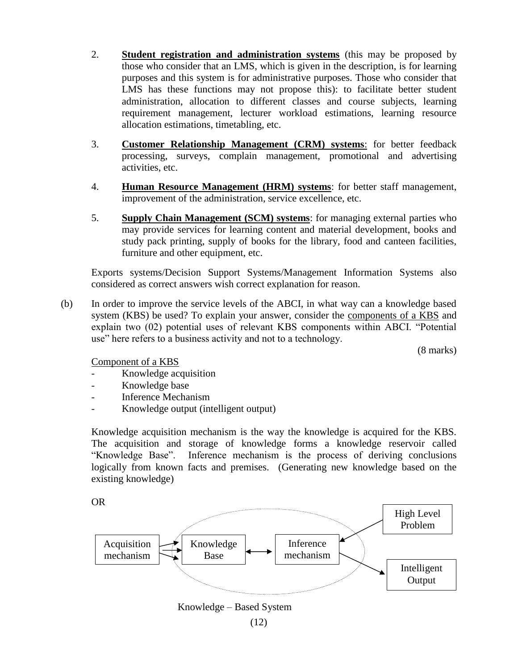- 2. **Student registration and administration systems** (this may be proposed by those who consider that an LMS, which is given in the description, is for learning purposes and this system is for administrative purposes. Those who consider that LMS has these functions may not propose this): to facilitate better student administration, allocation to different classes and course subjects, learning requirement management, lecturer workload estimations, learning resource allocation estimations, timetabling, etc.
- 3. **Customer Relationship Management (CRM) systems**: for better feedback processing, surveys, complain management, promotional and advertising activities, etc.
- 4. **Human Resource Management (HRM) systems**: for better staff management, improvement of the administration, service excellence, etc.
- 5. **Supply Chain Management (SCM) systems**: for managing external parties who may provide services for learning content and material development, books and study pack printing, supply of books for the library, food and canteen facilities, furniture and other equipment, etc.

Exports systems/Decision Support Systems/Management Information Systems also considered as correct answers wish correct explanation for reason.

(b) In order to improve the service levels of the ABCI, in what way can a knowledge based system (KBS) be used? To explain your answer, consider the components of a KBS and explain two (02) potential uses of relevant KBS components within ABCI. "Potential use" here refers to a business activity and not to a technology.

(8 marks)

Component of a KBS

- Knowledge acquisition
- Knowledge base
- Inference Mechanism
- Knowledge output (intelligent output)

Knowledge acquisition mechanism is the way the knowledge is acquired for the KBS. The acquisition and storage of knowledge forms a knowledge reservoir called "Knowledge Base". Inference mechanism is the process of deriving conclusions logically from known facts and premises. (Generating new knowledge based on the existing knowledge)

OR

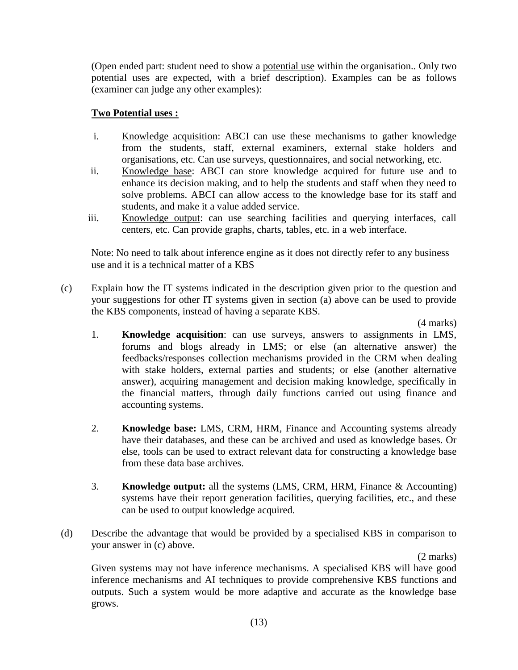(Open ended part: student need to show a potential use within the organisation.. Only two potential uses are expected, with a brief description). Examples can be as follows (examiner can judge any other examples):

# **Two Potential uses :**

- i. Knowledge acquisition: ABCI can use these mechanisms to gather knowledge from the students, staff, external examiners, external stake holders and organisations, etc. Can use surveys, questionnaires, and social networking, etc.
- ii. Knowledge base: ABCI can store knowledge acquired for future use and to enhance its decision making, and to help the students and staff when they need to solve problems. ABCI can allow access to the knowledge base for its staff and students, and make it a value added service.
- iii. Knowledge output: can use searching facilities and querying interfaces, call centers, etc. Can provide graphs, charts, tables, etc. in a web interface.

Note: No need to talk about inference engine as it does not directly refer to any business use and it is a technical matter of a KBS

(c) Explain how the IT systems indicated in the description given prior to the question and your suggestions for other IT systems given in section (a) above can be used to provide the KBS components, instead of having a separate KBS.

(4 marks)

- 1. **Knowledge acquisition**: can use surveys, answers to assignments in LMS, forums and blogs already in LMS; or else (an alternative answer) the feedbacks/responses collection mechanisms provided in the CRM when dealing with stake holders, external parties and students; or else (another alternative answer), acquiring management and decision making knowledge, specifically in the financial matters, through daily functions carried out using finance and accounting systems.
- 2. **Knowledge base:** LMS, CRM, HRM, Finance and Accounting systems already have their databases, and these can be archived and used as knowledge bases. Or else, tools can be used to extract relevant data for constructing a knowledge base from these data base archives.
- 3. **Knowledge output:** all the systems (LMS, CRM, HRM, Finance & Accounting) systems have their report generation facilities, querying facilities, etc., and these can be used to output knowledge acquired.
- (d) Describe the advantage that would be provided by a specialised KBS in comparison to your answer in (c) above.

(2 marks)

Given systems may not have inference mechanisms. A specialised KBS will have good inference mechanisms and AI techniques to provide comprehensive KBS functions and outputs. Such a system would be more adaptive and accurate as the knowledge base grows.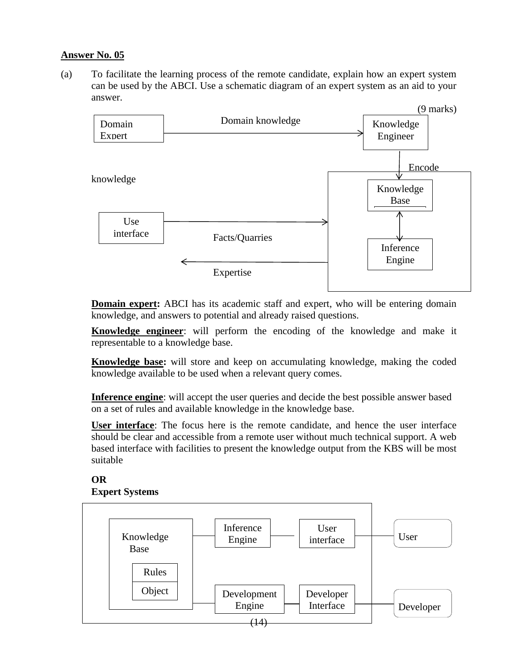# **Answer No. 05**

(a) To facilitate the learning process of the remote candidate, explain how an expert system can be used by the ABCI. Use a schematic diagram of an expert system as an aid to your answer.



**Domain expert:** ABCI has its academic staff and expert, who will be entering domain knowledge, and answers to potential and already raised questions.

**Knowledge engineer**: will perform the encoding of the knowledge and make it representable to a knowledge base.

**Knowledge base:** will store and keep on accumulating knowledge, making the coded knowledge available to be used when a relevant query comes.

**Inference engine**: will accept the user queries and decide the best possible answer based on a set of rules and available knowledge in the knowledge base.

**User interface**: The focus here is the remote candidate, and hence the user interface should be clear and accessible from a remote user without much technical support. A web based interface with facilities to present the knowledge output from the KBS will be most suitable

#### **OR Expert Systems**

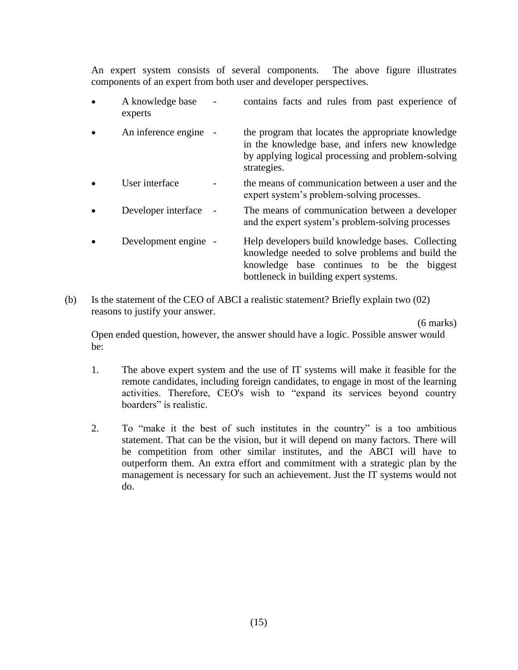An expert system consists of several components. The above figure illustrates components of an expert from both user and developer perspectives.

- A knowledge base contains facts and rules from past experience of experts
- An inference engine the program that locates the appropriate knowledge in the knowledge base, and infers new knowledge by applying logical processing and problem-solving strategies.
- User interface  $\qquad \qquad$  the means of communication between a user and the expert system's problem-solving processes.
- Developer interface The means of communication between a developer and the expert system's problem-solving processes
- Development engine Help developers build knowledge bases. Collecting knowledge needed to solve problems and build the knowledge base continues to be the biggest bottleneck in building expert systems.
- (b) Is the statement of the CEO of ABCI a realistic statement? Briefly explain two (02) reasons to justify your answer.

(6 marks)

Open ended question, however, the answer should have a logic. Possible answer would be:

- 1. The above expert system and the use of IT systems will make it feasible for the remote candidates, including foreign candidates, to engage in most of the learning activities. Therefore, CEO's wish to "expand its services beyond country boarders" is realistic.
- 2. To "make it the best of such institutes in the country" is a too ambitious statement. That can be the vision, but it will depend on many factors. There will be competition from other similar institutes, and the ABCI will have to outperform them. An extra effort and commitment with a strategic plan by the management is necessary for such an achievement. Just the IT systems would not do.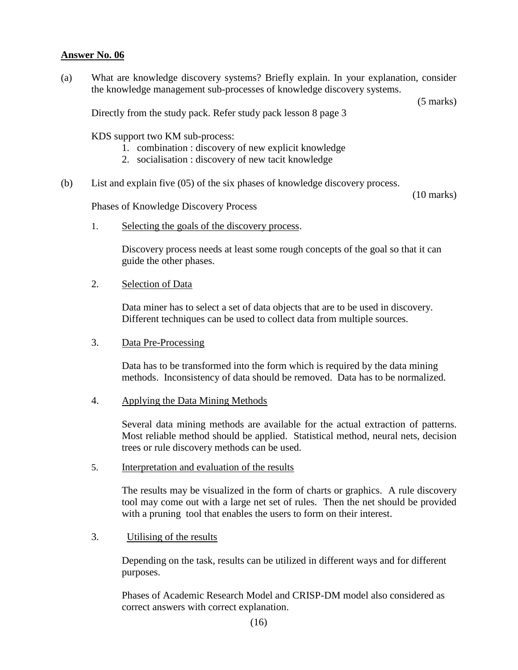# **Answer No. 06**

(a) What are knowledge discovery systems? Briefly explain. In your explanation, consider the knowledge management sub-processes of knowledge discovery systems.

(5 marks)

Directly from the study pack. Refer study pack lesson 8 page 3

KDS support two KM sub-process:

- 1. combination : discovery of new explicit knowledge
- 2. socialisation : discovery of new tacit knowledge
- (b) List and explain five (05) of the six phases of knowledge discovery process.

(10 marks)

Phases of Knowledge Discovery Process

1. Selecting the goals of the discovery process.

Discovery process needs at least some rough concepts of the goal so that it can guide the other phases.

2. Selection of Data

Data miner has to select a set of data objects that are to be used in discovery. Different techniques can be used to collect data from multiple sources.

3. Data Pre-Processing

Data has to be transformed into the form which is required by the data mining methods. Inconsistency of data should be removed. Data has to be normalized.

4. Applying the Data Mining Methods

Several data mining methods are available for the actual extraction of patterns. Most reliable method should be applied. Statistical method, neural nets, decision trees or rule discovery methods can be used.

5. Interpretation and evaluation of the results

The results may be visualized in the form of charts or graphics. A rule discovery tool may come out with a large net set of rules. Then the net should be provided with a pruning tool that enables the users to form on their interest.

3. Utilising of the results

Depending on the task, results can be utilized in different ways and for different purposes.

Phases of Academic Research Model and CRISP-DM model also considered as correct answers with correct explanation.